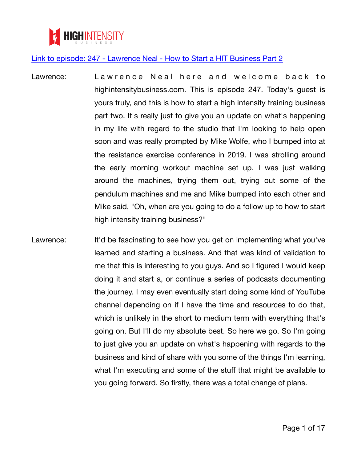

- Lawrence: Lawrence Neal here and welcome back to highintensitybusiness.com. This is episode 247. Today's guest is yours truly, and this is how to start a high intensity training business part two. It's really just to give you an update on what's happening in my life with regard to the studio that I'm looking to help open soon and was really prompted by Mike Wolfe, who I bumped into at the resistance exercise conference in 2019. I was strolling around the early morning workout machine set up. I was just walking around the machines, trying them out, trying out some of the pendulum machines and me and Mike bumped into each other and Mike said, "Oh, when are you going to do a follow up to how to start high intensity training business?"
- Lawrence: It'd be fascinating to see how you get on implementing what you've learned and starting a business. And that was kind of validation to me that this is interesting to you guys. And so I figured I would keep doing it and start a, or continue a series of podcasts documenting the journey. I may even eventually start doing some kind of YouTube channel depending on if I have the time and resources to do that, which is unlikely in the short to medium term with everything that's going on. But I'll do my absolute best. So here we go. So I'm going to just give you an update on what's happening with regards to the business and kind of share with you some of the things I'm learning, what I'm executing and some of the stuff that might be available to you going forward. So firstly, there was a total change of plans.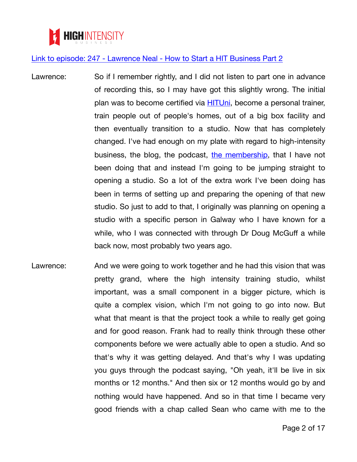

- Lawrence: So if I remember rightly, and I did not listen to part one in advance of recording this, so I may have got this slightly wrong. The initial plan was to become certified via [HITUni](https://highintensitybusiness.com/hituni-transcript-link), become a personal trainer, train people out of people's homes, out of a big box facility and then eventually transition to a studio. Now that has completely changed. I've had enough on my plate with regard to high-intensity business, the blog, the podcast, [the membership](https://highintensitybusiness.com/membership-transcript-link), that I have not been doing that and instead I'm going to be jumping straight to opening a studio. So a lot of the extra work I've been doing has been in terms of setting up and preparing the opening of that new studio. So just to add to that, I originally was planning on opening a studio with a specific person in Galway who I have known for a while, who I was connected with through Dr Doug McGuff a while back now, most probably two years ago.
- Lawrence: And we were going to work together and he had this vision that was pretty grand, where the high intensity training studio, whilst important, was a small component in a bigger picture, which is quite a complex vision, which I'm not going to go into now. But what that meant is that the project took a while to really get going and for good reason. Frank had to really think through these other components before we were actually able to open a studio. And so that's why it was getting delayed. And that's why I was updating you guys through the podcast saying, "Oh yeah, it'll be live in six months or 12 months." And then six or 12 months would go by and nothing would have happened. And so in that time I became very good friends with a chap called Sean who came with me to the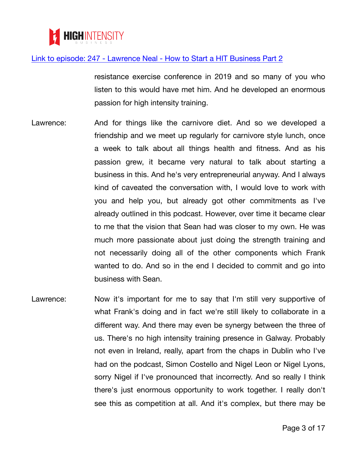

resistance exercise conference in 2019 and so many of you who listen to this would have met him. And he developed an enormous passion for high intensity training.

- Lawrence: And for things like the carnivore diet. And so we developed a friendship and we meet up regularly for carnivore style lunch, once a week to talk about all things health and fitness. And as his passion grew, it became very natural to talk about starting a business in this. And he's very entrepreneurial anyway. And I always kind of caveated the conversation with, I would love to work with you and help you, but already got other commitments as I've already outlined in this podcast. However, over time it became clear to me that the vision that Sean had was closer to my own. He was much more passionate about just doing the strength training and not necessarily doing all of the other components which Frank wanted to do. And so in the end I decided to commit and go into business with Sean.
- Lawrence: Now it's important for me to say that I'm still very supportive of what Frank's doing and in fact we're still likely to collaborate in a different way. And there may even be synergy between the three of us. There's no high intensity training presence in Galway. Probably not even in Ireland, really, apart from the chaps in Dublin who I've had on the podcast, Simon Costello and Nigel Leon or Nigel Lyons, sorry Nigel if I've pronounced that incorrectly. And so really I think there's just enormous opportunity to work together. I really don't see this as competition at all. And it's complex, but there may be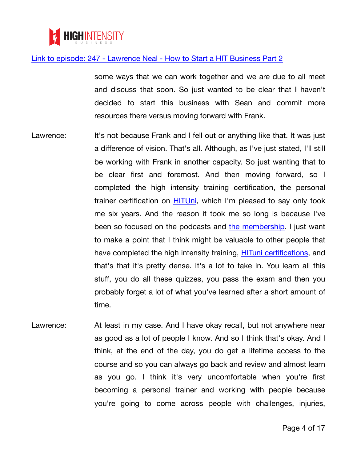

some ways that we can work together and we are due to all meet and discuss that soon. So just wanted to be clear that I haven't decided to start this business with Sean and commit more resources there versus moving forward with Frank.

- Lawrence: It's not because Frank and I fell out or anything like that. It was just a difference of vision. That's all. Although, as I've just stated, I'll still be working with Frank in another capacity. So just wanting that to be clear first and foremost. And then moving forward, so I completed the high intensity training certification, the personal trainer certification on **[HITUni](https://highintensitybusiness.com/hituni-transcript-link)**, which I'm pleased to say only took me six years. And the reason it took me so long is because I've been so focused on the podcasts and [the membership](https://highintensitybusiness.com/membership-transcript-link). I just want to make a point that I think might be valuable to other people that have completed the high intensity training, **[HITuni certifications](https://highintensitybusiness.com/hituni-transcript-link)**, and that's that it's pretty dense. It's a lot to take in. You learn all this stuff, you do all these quizzes, you pass the exam and then you probably forget a lot of what you've learned after a short amount of time.
- Lawrence: At least in my case. And I have okay recall, but not anywhere near as good as a lot of people I know. And so I think that's okay. And I think, at the end of the day, you do get a lifetime access to the course and so you can always go back and review and almost learn as you go. I think it's very uncomfortable when you're first becoming a personal trainer and working with people because you're going to come across people with challenges, injuries,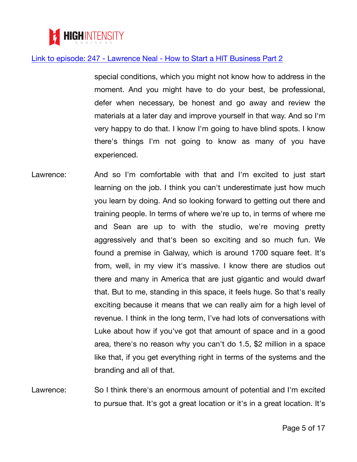

special conditions, which you might not know how to address in the moment. And you might have to do your best, be professional, defer when necessary, be honest and go away and review the materials at a later day and improve yourself in that way. And so I'm very happy to do that. I know I'm going to have blind spots. I know there's things I'm not going to know as many of you have experienced.

Lawrence: And so I'm comfortable with that and I'm excited to just start learning on the job. I think you can't underestimate just how much you learn by doing. And so looking forward to getting out there and training people. In terms of where we're up to, in terms of where me and Sean are up to with the studio, we're moving pretty aggressively and that's been so exciting and so much fun. We found a premise in Galway, which is around 1700 square feet. It's from, well, in my view it's massive. I know there are studios out there and many in America that are just gigantic and would dwarf that. But to me, standing in this space, it feels huge. So that's really exciting because it means that we can really aim for a high level of revenue. I think in the long term, I've had lots of conversations with Luke about how if you've got that amount of space and in a good area, there's no reason why you can't do 1.5, \$2 million in a space like that, if you get everything right in terms of the systems and the branding and all of that.

Lawrence: So I think there's an enormous amount of potential and I'm excited to pursue that. It's got a great location or it's in a great location. It's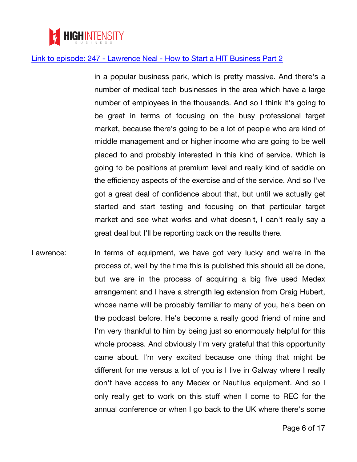

in a popular business park, which is pretty massive. And there's a number of medical tech businesses in the area which have a large number of employees in the thousands. And so I think it's going to be great in terms of focusing on the busy professional target market, because there's going to be a lot of people who are kind of middle management and or higher income who are going to be well placed to and probably interested in this kind of service. Which is going to be positions at premium level and really kind of saddle on the efficiency aspects of the exercise and of the service. And so I've got a great deal of confidence about that, but until we actually get started and start testing and focusing on that particular target market and see what works and what doesn't, I can't really say a great deal but I'll be reporting back on the results there.

Lawrence: In terms of equipment, we have got very lucky and we're in the process of, well by the time this is published this should all be done, but we are in the process of acquiring a big five used Medex arrangement and I have a strength leg extension from Craig Hubert, whose name will be probably familiar to many of you, he's been on the podcast before. He's become a really good friend of mine and I'm very thankful to him by being just so enormously helpful for this whole process. And obviously I'm very grateful that this opportunity came about. I'm very excited because one thing that might be different for me versus a lot of you is I live in Galway where I really don't have access to any Medex or Nautilus equipment. And so I only really get to work on this stuff when I come to REC for the annual conference or when I go back to the UK where there's some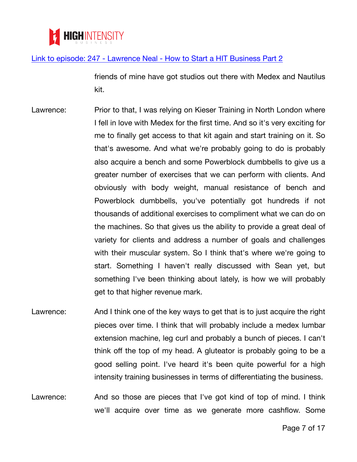

friends of mine have got studios out there with Medex and Nautilus kit.

- Lawrence: Prior to that, I was relying on Kieser Training in North London where I fell in love with Medex for the first time. And so it's very exciting for me to finally get access to that kit again and start training on it. So that's awesome. And what we're probably going to do is probably also acquire a bench and some Powerblock dumbbells to give us a greater number of exercises that we can perform with clients. And obviously with body weight, manual resistance of bench and Powerblock dumbbells, you've potentially got hundreds if not thousands of additional exercises to compliment what we can do on the machines. So that gives us the ability to provide a great deal of variety for clients and address a number of goals and challenges with their muscular system. So I think that's where we're going to start. Something I haven't really discussed with Sean yet, but something I've been thinking about lately, is how we will probably get to that higher revenue mark.
- Lawrence: And I think one of the key ways to get that is to just acquire the right pieces over time. I think that will probably include a medex lumbar extension machine, leg curl and probably a bunch of pieces. I can't think off the top of my head. A gluteator is probably going to be a good selling point. I've heard it's been quite powerful for a high intensity training businesses in terms of differentiating the business.
- Lawrence: And so those are pieces that I've got kind of top of mind. I think we'll acquire over time as we generate more cashflow. Some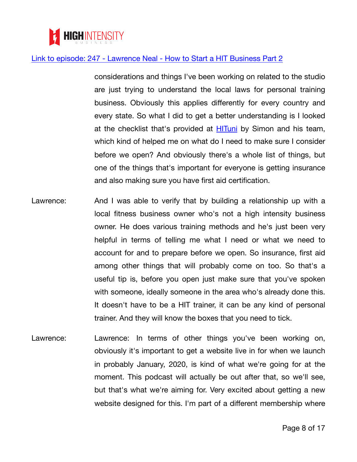

considerations and things I've been working on related to the studio are just trying to understand the local laws for personal training business. Obviously this applies differently for every country and every state. So what I did to get a better understanding is I looked at the checklist that's provided at [HITuni](https://highintensitybusiness.com/hituni-transcript-link) by Simon and his team, which kind of helped me on what do I need to make sure I consider before we open? And obviously there's a whole list of things, but one of the things that's important for everyone is getting insurance and also making sure you have first aid certification.

- Lawrence: And I was able to verify that by building a relationship up with a local fitness business owner who's not a high intensity business owner. He does various training methods and he's just been very helpful in terms of telling me what I need or what we need to account for and to prepare before we open. So insurance, first aid among other things that will probably come on too. So that's a useful tip is, before you open just make sure that you've spoken with someone, ideally someone in the area who's already done this. It doesn't have to be a HIT trainer, it can be any kind of personal trainer. And they will know the boxes that you need to tick.
- Lawrence: Lawrence: In terms of other things you've been working on, obviously it's important to get a website live in for when we launch in probably January, 2020, is kind of what we're going for at the moment. This podcast will actually be out after that, so we'll see, but that's what we're aiming for. Very excited about getting a new website designed for this. I'm part of a different membership where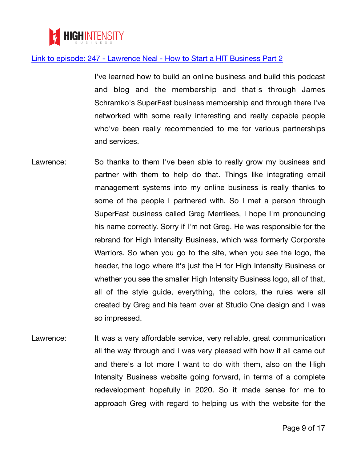

I've learned how to build an online business and build this podcast and blog and the membership and that's through James Schramko's SuperFast business membership and through there I've networked with some really interesting and really capable people who've been really recommended to me for various partnerships and services.

- Lawrence: So thanks to them I've been able to really grow my business and partner with them to help do that. Things like integrating email management systems into my online business is really thanks to some of the people I partnered with. So I met a person through SuperFast business called Greg Merrilees, I hope I'm pronouncing his name correctly. Sorry if I'm not Greg. He was responsible for the rebrand for High Intensity Business, which was formerly Corporate Warriors. So when you go to the site, when you see the logo, the header, the logo where it's just the H for High Intensity Business or whether you see the smaller High Intensity Business logo, all of that, all of the style guide, everything, the colors, the rules were all created by Greg and his team over at Studio One design and I was so impressed.
- Lawrence: It was a very affordable service, very reliable, great communication all the way through and I was very pleased with how it all came out and there's a lot more I want to do with them, also on the High Intensity Business website going forward, in terms of a complete redevelopment hopefully in 2020. So it made sense for me to approach Greg with regard to helping us with the website for the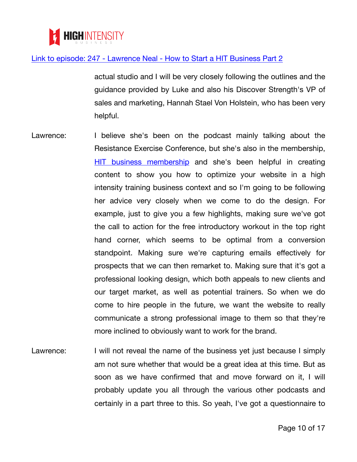

actual studio and I will be very closely following the outlines and the guidance provided by Luke and also his Discover Strength's VP of sales and marketing, Hannah Stael Von Holstein, who has been very helpful.

- Lawrence: I believe she's been on the podcast mainly talking about the Resistance Exercise Conference, but she's also in the membership, [HIT business membership](https://highintensitybusiness.com/membership-transcript-link) and she's been helpful in creating content to show you how to optimize your website in a high intensity training business context and so I'm going to be following her advice very closely when we come to do the design. For example, just to give you a few highlights, making sure we've got the call to action for the free introductory workout in the top right hand corner, which seems to be optimal from a conversion standpoint. Making sure we're capturing emails effectively for prospects that we can then remarket to. Making sure that it's got a professional looking design, which both appeals to new clients and our target market, as well as potential trainers. So when we do come to hire people in the future, we want the website to really communicate a strong professional image to them so that they're more inclined to obviously want to work for the brand.
- Lawrence: I will not reveal the name of the business yet just because I simply am not sure whether that would be a great idea at this time. But as soon as we have confirmed that and move forward on it, I will probably update you all through the various other podcasts and certainly in a part three to this. So yeah, I've got a questionnaire to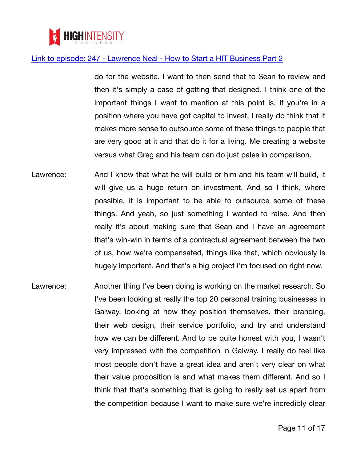

do for the website. I want to then send that to Sean to review and then it's simply a case of getting that designed. I think one of the important things I want to mention at this point is, if you're in a position where you have got capital to invest, I really do think that it makes more sense to outsource some of these things to people that are very good at it and that do it for a living. Me creating a website versus what Greg and his team can do just pales in comparison.

- Lawrence: And I know that what he will build or him and his team will build, it will give us a huge return on investment. And so I think, where possible, it is important to be able to outsource some of these things. And yeah, so just something I wanted to raise. And then really it's about making sure that Sean and I have an agreement that's win-win in terms of a contractual agreement between the two of us, how we're compensated, things like that, which obviously is hugely important. And that's a big project I'm focused on right now.
- Lawrence: Another thing I've been doing is working on the market research. So I've been looking at really the top 20 personal training businesses in Galway, looking at how they position themselves, their branding, their web design, their service portfolio, and try and understand how we can be different. And to be quite honest with you, I wasn't very impressed with the competition in Galway. I really do feel like most people don't have a great idea and aren't very clear on what their value proposition is and what makes them different. And so I think that that's something that is going to really set us apart from the competition because I want to make sure we're incredibly clear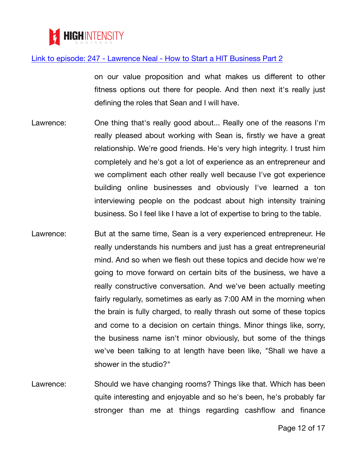

on our value proposition and what makes us different to other fitness options out there for people. And then next it's really just defining the roles that Sean and I will have.

- Lawrence: One thing that's really good about... Really one of the reasons I'm really pleased about working with Sean is, firstly we have a great relationship. We're good friends. He's very high integrity. I trust him completely and he's got a lot of experience as an entrepreneur and we compliment each other really well because I've got experience building online businesses and obviously I've learned a ton interviewing people on the podcast about high intensity training business. So I feel like I have a lot of expertise to bring to the table.
- Lawrence: But at the same time, Sean is a very experienced entrepreneur. He really understands his numbers and just has a great entrepreneurial mind. And so when we flesh out these topics and decide how we're going to move forward on certain bits of the business, we have a really constructive conversation. And we've been actually meeting fairly regularly, sometimes as early as 7:00 AM in the morning when the brain is fully charged, to really thrash out some of these topics and come to a decision on certain things. Minor things like, sorry, the business name isn't minor obviously, but some of the things we've been talking to at length have been like, "Shall we have a shower in the studio?"
- Lawrence: Should we have changing rooms? Things like that. Which has been quite interesting and enjoyable and so he's been, he's probably far stronger than me at things regarding cashflow and finance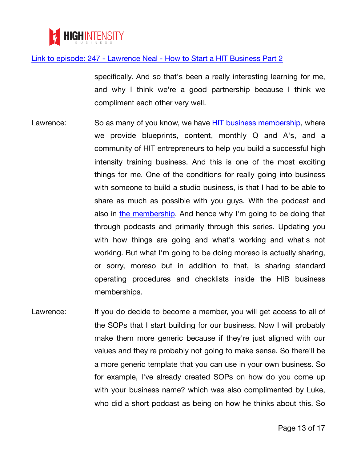

specifically. And so that's been a really interesting learning for me, and why I think we're a good partnership because I think we compliment each other very well.

- Lawrence: So as many of you know, we have [HIT business membership,](https://highintensitybusiness.com/membership-transcript-link) where we provide blueprints, content, monthly Q and A's, and a community of HIT entrepreneurs to help you build a successful high intensity training business. And this is one of the most exciting things for me. One of the conditions for really going into business with someone to build a studio business, is that I had to be able to share as much as possible with you guys. With the podcast and also in [the membership](https://highintensitybusiness.com/membership-transcript-link). And hence why I'm going to be doing that through podcasts and primarily through this series. Updating you with how things are going and what's working and what's not working. But what I'm going to be doing moreso is actually sharing, or sorry, moreso but in addition to that, is sharing standard operating procedures and checklists inside the HIB business memberships.
- Lawrence: If you do decide to become a member, you will get access to all of the SOPs that I start building for our business. Now I will probably make them more generic because if they're just aligned with our values and they're probably not going to make sense. So there'll be a more generic template that you can use in your own business. So for example, I've already created SOPs on how do you come up with your business name? which was also complimented by Luke, who did a short podcast as being on how he thinks about this. So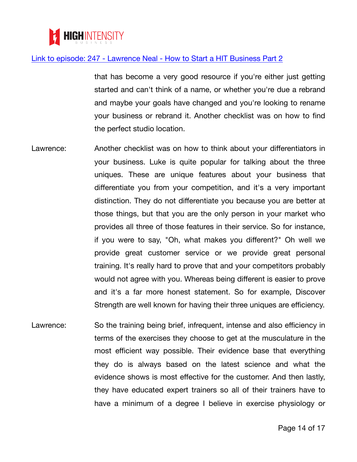

that has become a very good resource if you're either just getting started and can't think of a name, or whether you're due a rebrand and maybe your goals have changed and you're looking to rename your business or rebrand it. Another checklist was on how to find the perfect studio location.

- Lawrence: Another checklist was on how to think about your differentiators in your business. Luke is quite popular for talking about the three uniques. These are unique features about your business that differentiate you from your competition, and it's a very important distinction. They do not differentiate you because you are better at those things, but that you are the only person in your market who provides all three of those features in their service. So for instance, if you were to say, "Oh, what makes you different?" Oh well we provide great customer service or we provide great personal training. It's really hard to prove that and your competitors probably would not agree with you. Whereas being different is easier to prove and it's a far more honest statement. So for example, Discover Strength are well known for having their three uniques are efficiency.
- Lawrence: So the training being brief, infrequent, intense and also efficiency in terms of the exercises they choose to get at the musculature in the most efficient way possible. Their evidence base that everything they do is always based on the latest science and what the evidence shows is most effective for the customer. And then lastly, they have educated expert trainers so all of their trainers have to have a minimum of a degree I believe in exercise physiology or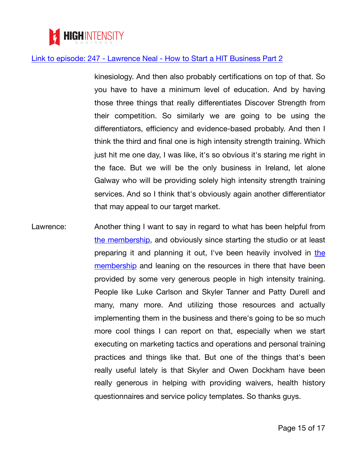

kinesiology. And then also probably certifications on top of that. So you have to have a minimum level of education. And by having those three things that really differentiates Discover Strength from their competition. So similarly we are going to be using the differentiators, efficiency and evidence-based probably. And then I think the third and final one is high intensity strength training. Which just hit me one day, I was like, it's so obvious it's staring me right in the face. But we will be the only business in Ireland, let alone Galway who will be providing solely high intensity strength training services. And so I think that's obviously again another differentiator that may appeal to our target market.

Lawrence: Another thing I want to say in regard to what has been helpful from [the membership](https://highintensitybusiness.com/membership-transcript-link), and obviously since starting the studio or at least preparing it and planning it out, I've been heavily involved in [the](https://highintensitybusiness.com/membership-transcript-link) [membership](https://highintensitybusiness.com/membership-transcript-link) and leaning on the resources in there that have been provided by some very generous people in high intensity training. People like Luke Carlson and Skyler Tanner and Patty Durell and many, many more. And utilizing those resources and actually implementing them in the business and there's going to be so much more cool things I can report on that, especially when we start executing on marketing tactics and operations and personal training practices and things like that. But one of the things that's been really useful lately is that Skyler and Owen Dockham have been really generous in helping with providing waivers, health history questionnaires and service policy templates. So thanks guys.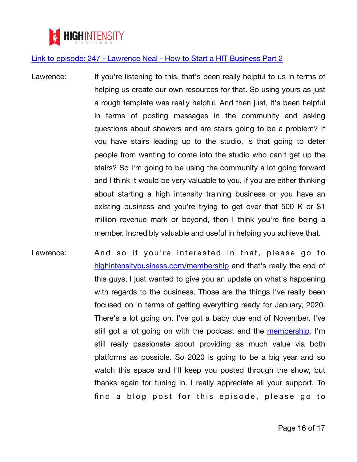

- Lawrence: If you're listening to this, that's been really helpful to us in terms of helping us create our own resources for that. So using yours as just a rough template was really helpful. And then just, it's been helpful in terms of posting messages in the community and asking questions about showers and are stairs going to be a problem? If you have stairs leading up to the studio, is that going to deter people from wanting to come into the studio who can't get up the stairs? So I'm going to be using the community a lot going forward and I think it would be very valuable to you, if you are either thinking about starting a high intensity training business or you have an existing business and you're trying to get over that 500 K or \$1 million revenue mark or beyond, then I think you're fine being a member. Incredibly valuable and useful in helping you achieve that.
- Lawrence: And so if you're interested in that, please go to [highintensitybusiness.com/membership](https://highintensitybusiness.com/membership-transcript-link) and that's really the end of this guys, I just wanted to give you an update on what's happening with regards to the business. Those are the things I've really been focused on in terms of getting everything ready for January, 2020. There's a lot going on. I've got a baby due end of November. I've still got a lot going on with the podcast and the [membership.](https://highintensitybusiness.com/membership-transcript-link) I'm still really passionate about providing as much value via both platforms as possible. So 2020 is going to be a big year and so watch this space and I'll keep you posted through the show, but thanks again for tuning in. I really appreciate all your support. To find a blog post for this episode, please go to